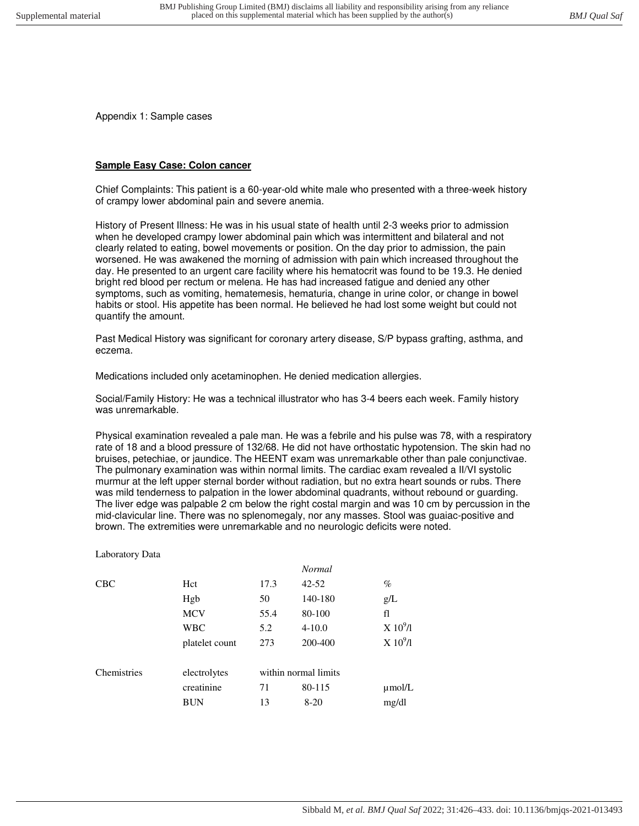Appendix 1: Sample cases

## **Sample Easy Case: Colon cancer**

Chief Complaints: This patient is a 60-year-old white male who presented with a three-week history of crampy lower abdominal pain and severe anemia.

History of Present Illness: He was in his usual state of health until 2-3 weeks prior to admission when he developed crampy lower abdominal pain which was intermittent and bilateral and not clearly related to eating, bowel movements or position. On the day prior to admission, the pain worsened. He was awakened the morning of admission with pain which increased throughout the day. He presented to an urgent care facility where his hematocrit was found to be 19.3. He denied bright red blood per rectum or melena. He has had increased fatigue and denied any other symptoms, such as vomiting, hematemesis, hematuria, change in urine color, or change in bowel habits or stool. His appetite has been normal. He believed he had lost some weight but could not quantify the amount.

Past Medical History was significant for coronary artery disease, S/P bypass grafting, asthma, and eczema.

Medications included only acetaminophen. He denied medication allergies.

Social/Family History: He was a technical illustrator who has 3-4 beers each week. Family history was unremarkable.

Physical examination revealed a pale man. He was a febrile and his pulse was 78, with a respiratory rate of 18 and a blood pressure of 132/68. He did not have orthostatic hypotension. The skin had no bruises, petechiae, or jaundice. The HEENT exam was unremarkable other than pale conjunctivae. The pulmonary examination was within normal limits. The cardiac exam revealed a II/VI systolic murmur at the left upper sternal border without radiation, but no extra heart sounds or rubs. There was mild tenderness to palpation in the lower abdominal quadrants, without rebound or guarding. The liver edge was palpable 2 cm below the right costal margin and was 10 cm by percussion in the mid-clavicular line. There was no splenomegaly, nor any masses. Stool was guaiac-positive and brown. The extremities were unremarkable and no neurologic deficits were noted.

Laboratory Data

|             |                |                      | <b>Normal</b> |                      |
|-------------|----------------|----------------------|---------------|----------------------|
| <b>CBC</b>  | Hct            | 17.3                 | $42 - 52$     | %                    |
|             | Hgb            | 50                   | 140-180       | g/L                  |
|             | <b>MCV</b>     | 55.4                 | 80-100        | fl                   |
|             | <b>WBC</b>     | 5.2                  | $4 - 10.0$    | X 10 <sup>9</sup> /I |
|             | platelet count | 273                  | 200-400       | X 10 <sup>9</sup> /l |
| Chemistries | electrolytes   | within normal limits |               |                      |
|             | creatinine     | 71                   | 80-115        | $\mu$ mol/L          |
|             | <b>BUN</b>     | 13                   | $8-20$        | mg/dl                |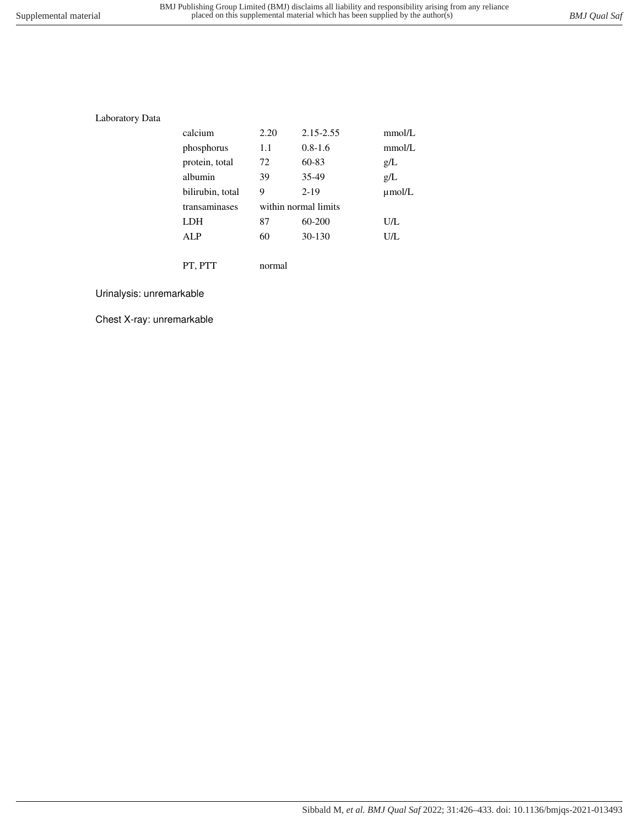Laboratory Data

| calcium          | 2.20                 | 2.15-2.55   | mmol/L      |
|------------------|----------------------|-------------|-------------|
| phosphorus       | 1.1                  | $0.8 - 1.6$ | mmol/L      |
| protein, total   | 72                   | 60-83       | g/L         |
| albumin          | 39                   | 35-49       | g/L         |
| bilirubin, total | 9                    | $2 - 19$    | $\mu$ mol/L |
| transaminases    | within normal limits |             |             |
| LDH              | 87                   | 60-200      | U/L         |
| ALP              | 60                   | 30-130      | U/L         |
|                  |                      |             |             |

PT, PTT normal

## Urinalysis: unremarkable

Chest X-ray: unremarkable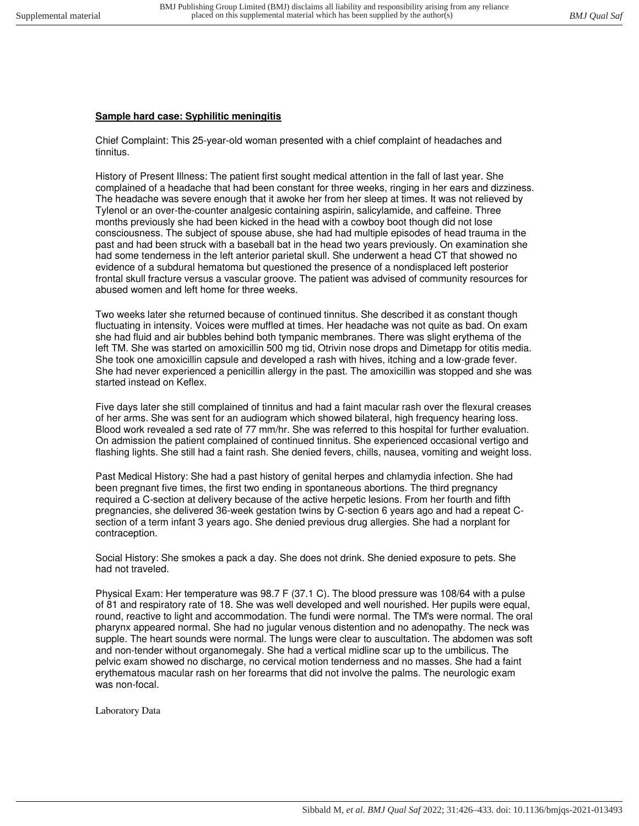## **Sample hard case: Syphilitic meningitis**

Chief Complaint: This 25-year-old woman presented with a chief complaint of headaches and tinnitus.

History of Present Illness: The patient first sought medical attention in the fall of last year. She complained of a headache that had been constant for three weeks, ringing in her ears and dizziness. The headache was severe enough that it awoke her from her sleep at times. It was not relieved by Tylenol or an over-the-counter analgesic containing aspirin, salicylamide, and caffeine. Three months previously she had been kicked in the head with a cowboy boot though did not lose consciousness. The subject of spouse abuse, she had had multiple episodes of head trauma in the past and had been struck with a baseball bat in the head two years previously. On examination she had some tenderness in the left anterior parietal skull. She underwent a head CT that showed no evidence of a subdural hematoma but questioned the presence of a nondisplaced left posterior frontal skull fracture versus a vascular groove. The patient was advised of community resources for abused women and left home for three weeks.

Two weeks later she returned because of continued tinnitus. She described it as constant though fluctuating in intensity. Voices were muffled at times. Her headache was not quite as bad. On exam she had fluid and air bubbles behind both tympanic membranes. There was slight erythema of the left TM. She was started on amoxicillin 500 mg tid, Otrivin nose drops and Dimetapp for otitis media. She took one amoxicillin capsule and developed a rash with hives, itching and a low-grade fever. She had never experienced a penicillin allergy in the past. The amoxicillin was stopped and she was started instead on Keflex.

Five days later she still complained of tinnitus and had a faint macular rash over the flexural creases of her arms. She was sent for an audiogram which showed bilateral, high frequency hearing loss. Blood work revealed a sed rate of 77 mm/hr. She was referred to this hospital for further evaluation. On admission the patient complained of continued tinnitus. She experienced occasional vertigo and flashing lights. She still had a faint rash. She denied fevers, chills, nausea, vomiting and weight loss.

Past Medical History: She had a past history of genital herpes and chlamydia infection. She had been pregnant five times, the first two ending in spontaneous abortions. The third pregnancy required a C-section at delivery because of the active herpetic lesions. From her fourth and fifth pregnancies, she delivered 36-week gestation twins by C-section 6 years ago and had a repeat Csection of a term infant 3 years ago. She denied previous drug allergies. She had a norplant for contraception.

Social History: She smokes a pack a day. She does not drink. She denied exposure to pets. She had not traveled.

Physical Exam: Her temperature was 98.7 F (37.1 C). The blood pressure was 108/64 with a pulse of 81 and respiratory rate of 18. She was well developed and well nourished. Her pupils were equal, round, reactive to light and accommodation. The fundi were normal. The TM's were normal. The oral pharynx appeared normal. She had no jugular venous distention and no adenopathy. The neck was supple. The heart sounds were normal. The lungs were clear to auscultation. The abdomen was soft and non-tender without organomegaly. She had a vertical midline scar up to the umbilicus. The pelvic exam showed no discharge, no cervical motion tenderness and no masses. She had a faint erythematous macular rash on her forearms that did not involve the palms. The neurologic exam was non-focal.

Laboratory Data